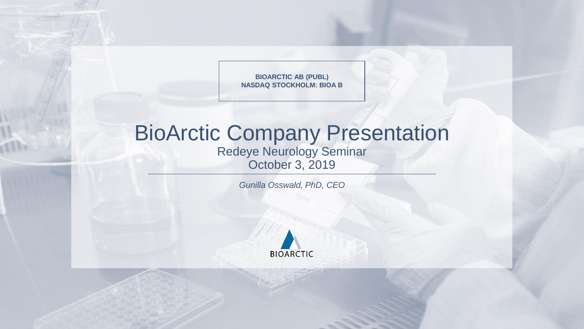**BIOARCTIC AB (PUBL) NASDAQ STOCKHOLM: BIOA B**

# BioArctic Company Presentation

Redeye Neurology Seminar October 3, 2019

*Gunilla Osswald, PhD, CEO*

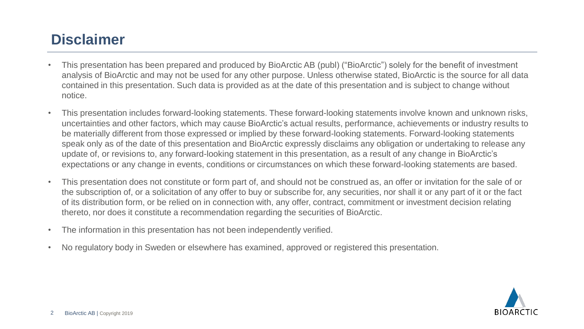## **Disclaimer**

- This presentation has been prepared and produced by BioArctic AB (publ) ("BioArctic") solely for the benefit of investment analysis of BioArctic and may not be used for any other purpose. Unless otherwise stated, BioArctic is the source for all data contained in this presentation. Such data is provided as at the date of this presentation and is subject to change without notice.
- This presentation includes forward-looking statements. These forward-looking statements involve known and unknown risks, uncertainties and other factors, which may cause BioArctic's actual results, performance, achievements or industry results to be materially different from those expressed or implied by these forward-looking statements. Forward-looking statements speak only as of the date of this presentation and BioArctic expressly disclaims any obligation or undertaking to release any update of, or revisions to, any forward-looking statement in this presentation, as a result of any change in BioArctic's expectations or any change in events, conditions or circumstances on which these forward-looking statements are based.
- This presentation does not constitute or form part of, and should not be construed as, an offer or invitation for the sale of or the subscription of, or a solicitation of any offer to buy or subscribe for, any securities, nor shall it or any part of it or the fact of its distribution form, or be relied on in connection with, any offer, contract, commitment or investment decision relating thereto, nor does it constitute a recommendation regarding the securities of BioArctic.
- The information in this presentation has not been independently verified.
- No regulatory body in Sweden or elsewhere has examined, approved or registered this presentation.

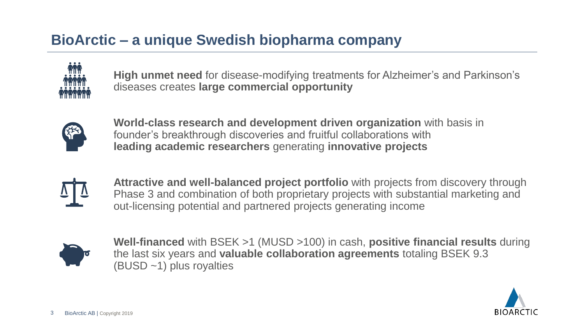# **BioArctic – a unique Swedish biopharma company**



**High unmet need** for disease-modifying treatments for Alzheimer's and Parkinson's diseases creates **large commercial opportunity**



**World-class research and development driven organization** with basis in founder's breakthrough discoveries and fruitful collaborations with **leading academic researchers** generating **innovative projects**



**Attractive and well-balanced project portfolio** with projects from discovery through Phase 3 and combination of both proprietary projects with substantial marketing and out-licensing potential and partnered projects generating income



**Well-financed** with BSEK >1 (MUSD >100) in cash, **positive financial results** during the last six years and **valuable collaboration agreements** totaling BSEK 9.3 (BUSD ~1) plus royalties

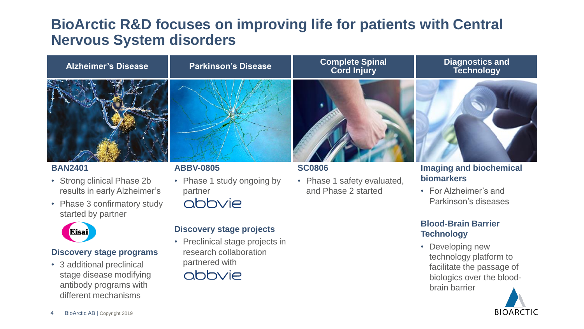## **BioArctic R&D focuses on improving life for patients with Central Nervous System disorders**



### **BAN2401**

- Strong clinical Phase 2b results in early Alzheimer's
- Phase 3 confirmatory study started by partner



### **Discovery stage programs**

• 3 additional preclinical stage disease modifying antibody programs with different mechanisms

## **ABBV-0805**

- Phase 1 study ongoing by partner
	- abbvie

### **Discovery stage projects**

• Preclinical stage projects in research collaboration partnered with



## **SC0806**

• Phase 1 safety evaluated, and Phase 2 started

### **Imaging and biochemical biomarkers**

• For Alzheimer's and Parkinson's diseases

## **Blood-Brain Barrier Technology**

• Developing new technology platform to facilitate the passage of biologics over the bloodbrain barrier

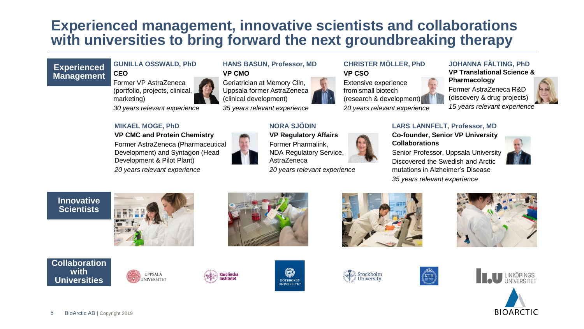## **Experienced management, innovative scientists and collaborations with universities to bring forward the next groundbreaking therapy**

## **Experienced Management**

#### **GUNILLA OSSWALD, PhD CEO**

Former VP AstraZeneca (portfolio, projects, clinical, marketing)

**MIKAEL MOGE, PhD** 

*30 years relevant experience*

**VP CMC and Protein Chemistry**

## **HANS BASUN, Professor, MD VP CMO**

Geriatrician at Memory Clin, Uppsala former AstraZeneca (clinical development)

*35 years relevant experience*

## **NORA SJÖDIN**

### **CHRISTER MÖLLER, PhD VP CSO**

Extensive experience from small biotech (research & development)

*20 years relevant experience*

#### **JOHANNA FÄLTING, PhD VP Translational Science & Pharmacology**

Former AstraZeneca R&D (discovery & drug projects) *15 years relevant experience*



#### **LARS LANNFELT, Professor, MD**

**Co-founder, Senior VP University Collaborations** Senior Professor, Uppsala University

Discovered the Swedish and Arctic mutations in Alzheimer's Disease *35 years relevant experience*







### **Collaboration with Universities**

5

BioArctic AB | Copyright 2019

















Development) and Syntagon (Head Development & Pilot Plant) *20 years relevant experience*



Karolinska<br>Institutet

**VP Regulatory Affairs**  Former Pharmalink, NDA Regulatory Service, AstraZeneca

*20 years relevant experience*



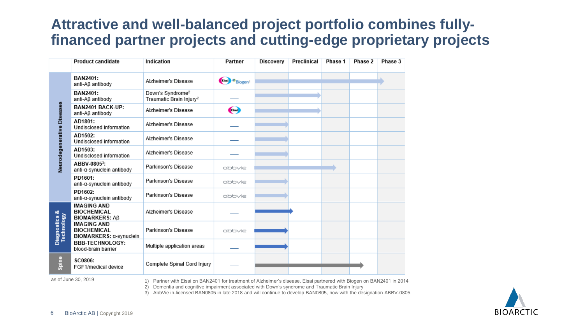## **Attractive and well-balanced project portfolio combines fullyfinanced partner projects and cutting-edge proprietary projects**

|                                        | <b>Product candidate</b>                                            | Indication                                                                                                           | Partner                            | Discovery | Preclinical | Phase 1 | Phase 2 | Phase 3 |
|----------------------------------------|---------------------------------------------------------------------|----------------------------------------------------------------------------------------------------------------------|------------------------------------|-----------|-------------|---------|---------|---------|
| Neurodegenerative Diseases             | BAN2401:<br>anti-Aß antibody                                        | Alzheimer's Disease                                                                                                  | <b>Elevent</b> Biogen <sup>1</sup> |           |             |         |         |         |
|                                        | <b>BAN2401:</b><br>anti-Aß antibody                                 | Down's Syndrome <sup>2</sup><br>Traumatic Brain Injury <sup>2</sup>                                                  |                                    |           |             |         |         |         |
|                                        | BAN2401 BACK-UP:<br>anti-Aß antibody                                | Alzheimer's Disease                                                                                                  | $\bullet$                          |           |             |         |         |         |
|                                        | AD1801:<br>Undisclosed information                                  | Alzheimer's Disease                                                                                                  |                                    |           |             |         |         |         |
|                                        | AD1502:<br>Undisclosed information                                  | Alzheimer's Disease                                                                                                  |                                    |           |             |         |         |         |
|                                        | AD1503:<br>Undisclosed information                                  | Alzheimer's Disease                                                                                                  |                                    |           |             |         |         |         |
|                                        | ABBV-0805 <sup>3</sup> :<br>anti-a-synuclein antibody               | Parkinson's Disease                                                                                                  | abbvie                             |           |             |         |         |         |
|                                        | PD1601:<br>anti-a-synuclein antibody                                | Parkinson's Disease                                                                                                  | abbvie                             |           |             |         |         |         |
|                                        | PD1602:<br>anti-a-synuclein antibody                                | Parkinson's Disease                                                                                                  | abbvie                             |           |             |         |         |         |
| <b>Diagnostics &amp;</b><br>Technology | <b>IMAGING AND</b><br><b>BIOCHEMICAL</b><br><b>BIOMARKERS: Aß</b>   | Alzheimer's Disease                                                                                                  |                                    |           |             |         |         |         |
|                                        | <b>IMAGING AND</b><br><b>BIOCHEMICAL</b><br>BIOMARKERS: α-synuclein | Parkinson's Disease                                                                                                  | abbvie                             |           |             |         |         |         |
|                                        | <b>BBB-TECHNOLOGY:</b><br>blood-brain barrier                       | Multiple application areas                                                                                           |                                    |           |             |         |         |         |
| Spine                                  | SC0806:<br>FGF1/medical device                                      | Complete Spinal Cord Injury                                                                                          |                                    |           |             |         |         |         |
|                                        | as of June 30, 2019                                                 | 1) Partner with Fisai on RAN2401 for treatment of Alzheimer's disease Fisai partnered with Riogen on RAN2401 in 2014 |                                    |           |             |         |         |         |

1) Partner with Eisai on BAN2401 for treatment of Alzheimer's disease. Eisai partnered with Biogen on BAN2401 in 2014 2) Dementia and cognitive impairment associated with Down's syndrome and Traumatic Brain Injury

3) AbbVie in-licensed BAN0805 in late 2018 and will continue to develop BAN0805, now with the designation ABBV-0805

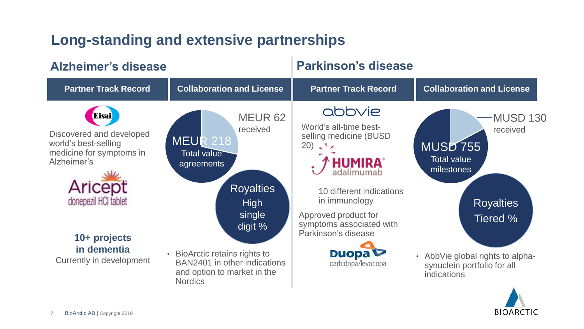## **Long-standing and extensive partnerships**